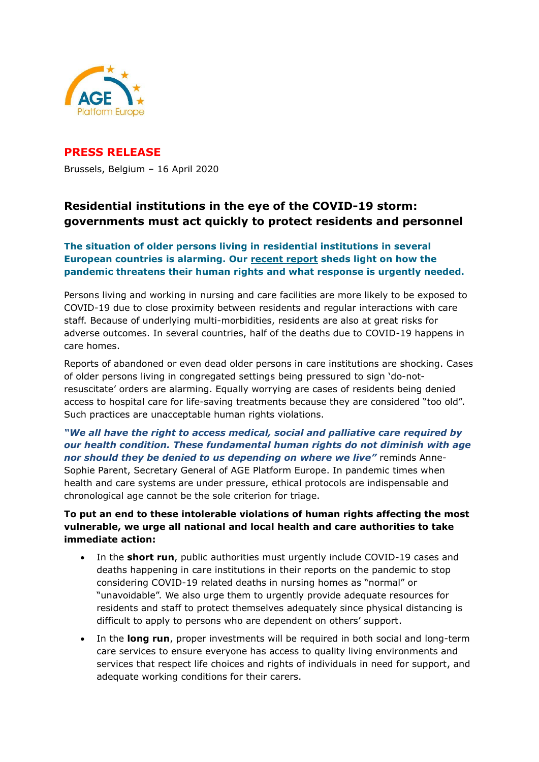

# **PRESS RELEASE** Brussels, Belgium – 16 April 2020

# **Residential institutions in the eye of the COVID-19 storm: governments must act quickly to protect residents and personnel**

## **The situation of older persons living in residential institutions in several European countries is alarming. Our [recent report](https://www.age-platform.eu/policy-work/news/covid-19-older-persons%E2%80%99-rights-must-be-equally-protected-during-pandemic) sheds light on how the pandemic threatens their human rights and what response is urgently needed.**

Persons living and working in nursing and care facilities are more likely to be exposed to COVID-19 due to close proximity between residents and regular interactions with care staff. Because of underlying multi-morbidities, residents are also at great risks for adverse outcomes. In several countries, half of the deaths due to COVID-19 happens in care homes.

Reports of abandoned or even dead older persons in care institutions are shocking. Cases of older persons living in congregated settings being pressured to sign 'do-notresuscitate' orders are alarming. Equally worrying are cases of residents being denied access to hospital care for life-saving treatments because they are considered "too old". Such practices are unacceptable human rights violations.

## *"We all have the right to access medical, social and palliative care required by our health condition. These fundamental human rights do not diminish with age nor should they be denied to us depending on where we live"* reminds Anne-Sophie Parent, Secretary General of AGE Platform Europe. In pandemic times when health and care systems are under pressure, ethical protocols are indispensable and chronological age cannot be the sole criterion for triage.

## **To put an end to these intolerable violations of human rights affecting the most vulnerable, we urge all national and local health and care authorities to take immediate action:**

- In the **short run**, public authorities must urgently include COVID-19 cases and deaths happening in care institutions in their reports on the pandemic to stop considering COVID-19 related deaths in nursing homes as "normal" or "unavoidable". We also urge them to urgently provide adequate resources for residents and staff to protect themselves adequately since physical distancing is difficult to apply to persons who are dependent on others' support.
- In the **long run**, proper investments will be required in both social and long-term care services to ensure everyone has access to quality living environments and services that respect life choices and rights of individuals in need for support, and adequate working conditions for their carers.